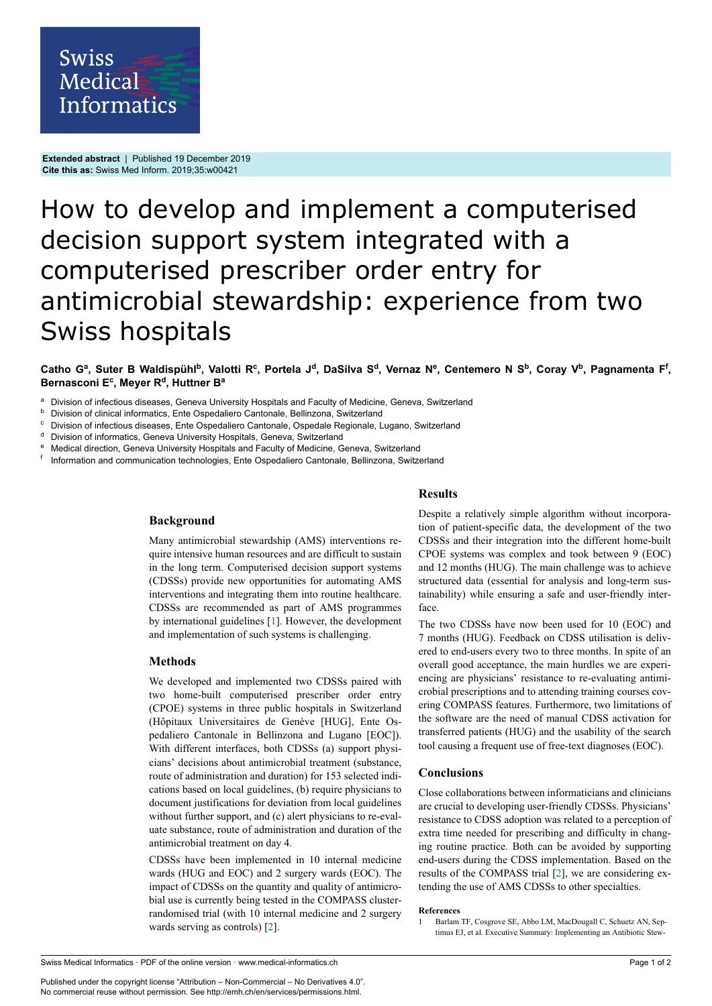**Extended abstract** | Published 19 December 2019 **Cite this as:** Swiss Med Inform. 2019;35:w00421

## How to develop and implement a computerised decision support system integrated with a computerised prescriber order entry for antimicrobial stewardship: experience from two Swiss hospitals

## Catho Gª, Suter B Waldispühl<sup>b</sup>, Valotti R<sup>c</sup>, Portela J<sup>d</sup>, DaSilva S<sup>d</sup>, Vernaz Nº, Centemero N S<sup>b</sup>, Coray V<sup>b</sup>, Pagnamenta F<sup>f</sup>, **Bernasconi E c , Meyer R d , Huttner B a**

Division of infectious diseases, Geneva University Hospitals and Faculty of Medicine, Geneva, Switzerland

- **b** Division of clinical informatics, Ente Ospedaliero Cantonale, Bellinzona, Switzerland<br>
Cantonale, Division of infectious diseases. Ente Ospedaliero Cantonale, Ospedale Begionale, L
- <sup>c</sup> Division of infectious diseases, Ente Ospedaliero Cantonale, Ospedale Regionale, Lugano, Switzerland<br><sup>d</sup> Division of informatics Geneva University Hospitals Geneva, Switzerland
- Division of informatics, Geneva University Hospitals, Geneva, Switzerland
- <sup>e</sup> Medical direction, Geneva University Hospitals and Faculty of Medicine, Geneva, Switzerland
- f Information and communication technologies, Ente Ospedaliero Cantonale, Bellinzona, Switzerland

# **Background**

Many antimicrobial stewardship (AMS) interventions require intensive human resources and are difficult to sustain in the long term. Computerised decision support systems (CDSSs) provide new opportunities for automating AMS interventions and integrating them into routine healthcare. CDSSs are recommended as part of AMS programmes by international guidelines [[1](#page-0-0)]. However, the development and implementation of such systems is challenging.

### **Methods**

We developed and implemented two CDSSs paired with two home-built computerised prescriber order entry (CPOE) systems in three public hospitals in Switzerland (Hôpitaux Universitaires de Genève [HUG], Ente Ospedaliero Cantonale in Bellinzona and Lugano [EOC]). With different interfaces, both CDSSs (a) support physicians' decisions about antimicrobial treatment (substance, route of administration and duration) for 153 selected indications based on local guidelines, (b) require physicians to document justifications for deviation from local guidelines without further support, and (c) alert physicians to re-evaluate substance, route of administration and duration of the antimicrobial treatment on day 4.

CDSSs have been implemented in 10 internal medicine wards (HUG and EOC) and 2 surgery wards (EOC). The impact of CDSSs on the quantity and quality of antimicrobial use is currently being tested in the COMPASS clusterrandomised trial (with 10 internal medicine and 2 surgery wards serving as controls) [\[2\]](#page-1-0).

### **Results**

Despite a relatively simple algorithm without incorporation of patient-specific data, the development of the two CDSSs and their integration into the different home-built CPOE systems was complex and took between 9 (EOC) and 12 months (HUG). The main challenge was to achieve structured data (essential for analysis and long-term sustainability) while ensuring a safe and user-friendly interface.

The two CDSSs have now been used for 10 (EOC) and 7 months (HUG). Feedback on CDSS utilisation is delivered to end-users every two to three months. In spite of an overall good acceptance, the main hurdles we are experiencing are physicians' resistance to re-evaluating antimicrobial prescriptions and to attending training courses covering COMPASS features. Furthermore, two limitations of the software are the need of manual CDSS activation for transferred patients (HUG) and the usability of the search tool causing a frequent use of free-text diagnoses (EOC).

### **Conclusions**

Close collaborations between informaticians and clinicians are crucial to developing user-friendly CDSSs. Physicians' resistance to CDSS adoption was related to a perception of extra time needed for prescribing and difficulty in changing routine practice. Both can be avoided by supporting end-users during the CDSS implementation. Based on the results of the COMPASS trial [\[2\]](#page-1-0), we are considering extending the use of AMS CDSSs to other specialties.

#### **References**

Barlam TF, Cosgrove SE, Abbo LM, MacDougall C, Schuetz AN, Septimus EJ, et al. Executive Summary: Implementing an Antibiotic Stew-

<span id="page-0-0"></span>Published under the copyright license "Attribution – Non-Commercial – No Derivatives 4.0". No commercial reuse without permission. See http://emh.ch/en/services/permissions.html.